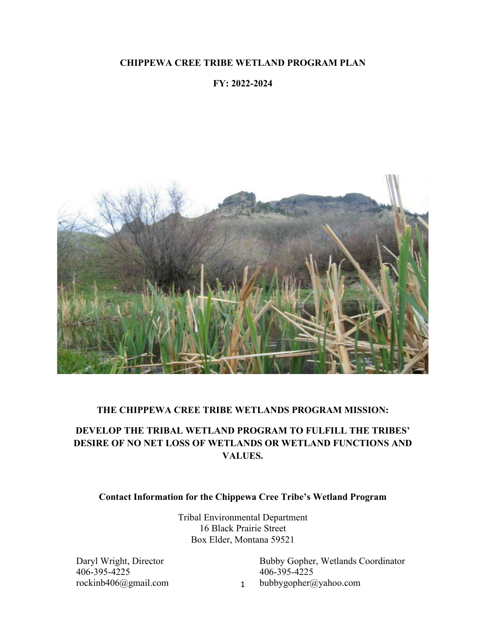### **CHIPPEWA CREE TRIBE WETLAND PROGRAM PLAN**

### **FY: 2022-2024**



### **THE CHIPPEWA CREE TRIBE WETLANDS PROGRAM MISSION:**

# **DEVELOP THE TRIBAL WETLAND PROGRAM TO FULFILL THE TRIBES' DESIRE OF NO NET LOSS OF WETLANDS OR WETLAND FUNCTIONS AND VALUES.**

### **Contact Information for the Chippewa Cree Tribe's Wetland Program**

Tribal Environmental Department 16 Black Prairie Street Box Elder, Montana 59521

1

Daryl Wright, Director 406-395-4225 rockinb406@gmail.com Bubby Gopher, Wetlands Coordinator 406-395-4225 bubbygopher@yahoo.com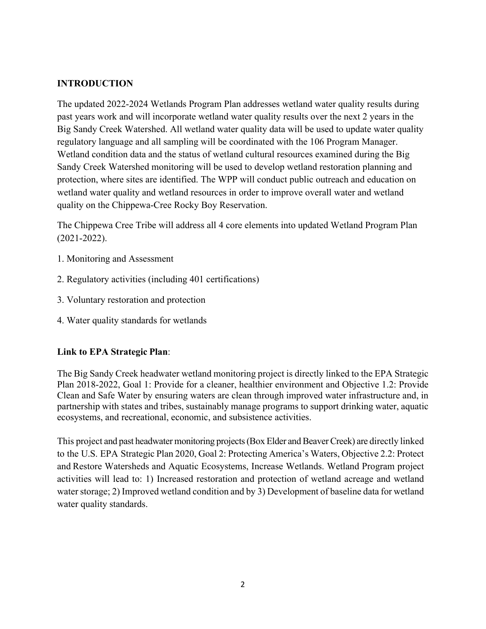## **INTRODUCTION**

The updated 2022-2024 Wetlands Program Plan addresses wetland water quality results during past years work and will incorporate wetland water quality results over the next 2 years in the Big Sandy Creek Watershed. All wetland water quality data will be used to update water quality regulatory language and all sampling will be coordinated with the 106 Program Manager. Wetland condition data and the status of wetland cultural resources examined during the Big Sandy Creek Watershed monitoring will be used to develop wetland restoration planning and protection, where sites are identified. The WPP will conduct public outreach and education on wetland water quality and wetland resources in order to improve overall water and wetland quality on the Chippewa-Cree Rocky Boy Reservation.

The Chippewa Cree Tribe will address all 4 core elements into updated Wetland Program Plan (2021-2022).

- 1. Monitoring and Assessment
- 2. Regulatory activities (including 401 certifications)
- 3. Voluntary restoration and protection
- 4. Water quality standards for wetlands

### **Link to EPA Strategic Plan**:

The Big Sandy Creek headwater wetland monitoring project is directly linked to the EPA Strategic Plan 2018-2022, Goal 1: Provide for a cleaner, healthier environment and Objective 1.2: Provide Clean and Safe Water by ensuring waters are clean through improved water infrastructure and, in partnership with states and tribes, sustainably manage programs to support drinking water, aquatic ecosystems, and recreational, economic, and subsistence activities.

This project and past headwater monitoring projects (Box Elder and Beaver Creek) are directly linked to the U.S. EPA Strategic Plan 2020, Goal 2: Protecting America's Waters, Objective 2.2: Protect and Restore Watersheds and Aquatic Ecosystems, Increase Wetlands. Wetland Program project activities will lead to: 1) Increased restoration and protection of wetland acreage and wetland water storage; 2) Improved wetland condition and by 3) Development of baseline data for wetland water quality standards.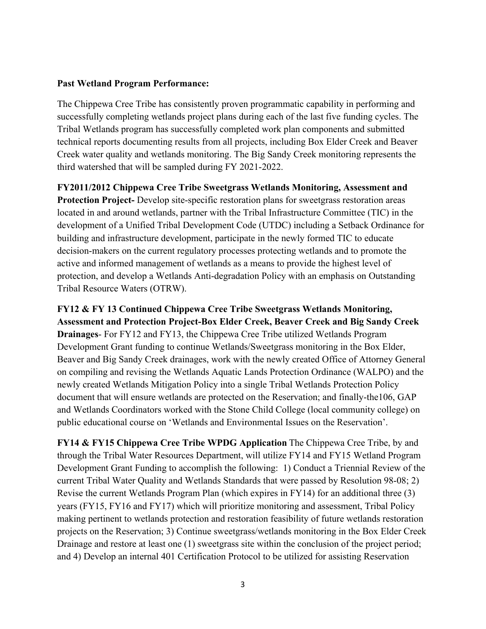#### **Past Wetland Program Performance:**

The Chippewa Cree Tribe has consistently proven programmatic capability in performing and successfully completing wetlands project plans during each of the last five funding cycles. The Tribal Wetlands program has successfully completed work plan components and submitted technical reports documenting results from all projects, including Box Elder Creek and Beaver Creek water quality and wetlands monitoring. The Big Sandy Creek monitoring represents the third watershed that will be sampled during FY 2021-2022.

**FY2011/2012 Chippewa Cree Tribe Sweetgrass Wetlands Monitoring, Assessment and Protection Project-** Develop site-specific restoration plans for sweetgrass restoration areas located in and around wetlands, partner with the Tribal Infrastructure Committee (TIC) in the development of a Unified Tribal Development Code (UTDC) including a Setback Ordinance for building and infrastructure development, participate in the newly formed TIC to educate decision-makers on the current regulatory processes protecting wetlands and to promote the active and informed management of wetlands as a means to provide the highest level of protection, and develop a Wetlands Anti-degradation Policy with an emphasis on Outstanding Tribal Resource Waters (OTRW).

**FY12 & FY 13 Continued Chippewa Cree Tribe Sweetgrass Wetlands Monitoring, Assessment and Protection Project-Box Elder Creek, Beaver Creek and Big Sandy Creek Drainages**- For FY12 and FY13, the Chippewa Cree Tribe utilized Wetlands Program Development Grant funding to continue Wetlands/Sweetgrass monitoring in the Box Elder, Beaver and Big Sandy Creek drainages, work with the newly created Office of Attorney General on compiling and revising the Wetlands Aquatic Lands Protection Ordinance (WALPO) and the newly created Wetlands Mitigation Policy into a single Tribal Wetlands Protection Policy document that will ensure wetlands are protected on the Reservation; and finally-the106, GAP and Wetlands Coordinators worked with the Stone Child College (local community college) on public educational course on 'Wetlands and Environmental Issues on the Reservation'.

**FY14 & FY15 Chippewa Cree Tribe WPDG Application** The Chippewa Cree Tribe, by and through the Tribal Water Resources Department, will utilize FY14 and FY15 Wetland Program Development Grant Funding to accomplish the following: 1) Conduct a Triennial Review of the current Tribal Water Quality and Wetlands Standards that were passed by Resolution 98-08; 2) Revise the current Wetlands Program Plan (which expires in FY14) for an additional three (3) years (FY15, FY16 and FY17) which will prioritize monitoring and assessment, Tribal Policy making pertinent to wetlands protection and restoration feasibility of future wetlands restoration projects on the Reservation; 3) Continue sweetgrass/wetlands monitoring in the Box Elder Creek Drainage and restore at least one (1) sweetgrass site within the conclusion of the project period; and 4) Develop an internal 401 Certification Protocol to be utilized for assisting Reservation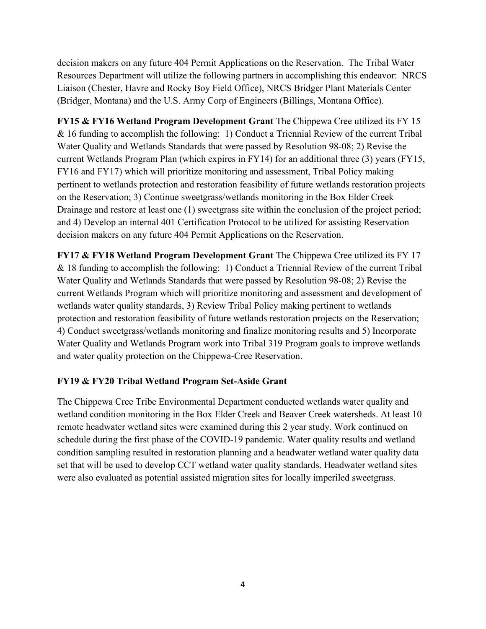decision makers on any future 404 Permit Applications on the Reservation. The Tribal Water Resources Department will utilize the following partners in accomplishing this endeavor: NRCS Liaison (Chester, Havre and Rocky Boy Field Office), NRCS Bridger Plant Materials Center (Bridger, Montana) and the U.S. Army Corp of Engineers (Billings, Montana Office).

**FY15 & FY16 Wetland Program Development Grant** The Chippewa Cree utilized its FY 15 & 16 funding to accomplish the following: 1) Conduct a Triennial Review of the current Tribal Water Quality and Wetlands Standards that were passed by Resolution 98-08; 2) Revise the current Wetlands Program Plan (which expires in FY14) for an additional three (3) years (FY15, FY16 and FY17) which will prioritize monitoring and assessment, Tribal Policy making pertinent to wetlands protection and restoration feasibility of future wetlands restoration projects on the Reservation; 3) Continue sweetgrass/wetlands monitoring in the Box Elder Creek Drainage and restore at least one (1) sweetgrass site within the conclusion of the project period; and 4) Develop an internal 401 Certification Protocol to be utilized for assisting Reservation decision makers on any future 404 Permit Applications on the Reservation.

**FY17 & FY18 Wetland Program Development Grant** The Chippewa Cree utilized its FY 17 & 18 funding to accomplish the following: 1) Conduct a Triennial Review of the current Tribal Water Quality and Wetlands Standards that were passed by Resolution 98-08; 2) Revise the current Wetlands Program which will prioritize monitoring and assessment and development of wetlands water quality standards, 3) Review Tribal Policy making pertinent to wetlands protection and restoration feasibility of future wetlands restoration projects on the Reservation; 4) Conduct sweetgrass/wetlands monitoring and finalize monitoring results and 5) Incorporate Water Quality and Wetlands Program work into Tribal 319 Program goals to improve wetlands and water quality protection on the Chippewa-Cree Reservation.

### **FY19 & FY20 Tribal Wetland Program Set-Aside Grant**

The Chippewa Cree Tribe Environmental Department conducted wetlands water quality and wetland condition monitoring in the Box Elder Creek and Beaver Creek watersheds. At least 10 remote headwater wetland sites were examined during this 2 year study. Work continued on schedule during the first phase of the COVID-19 pandemic. Water quality results and wetland condition sampling resulted in restoration planning and a headwater wetland water quality data set that will be used to develop CCT wetland water quality standards. Headwater wetland sites were also evaluated as potential assisted migration sites for locally imperiled sweetgrass.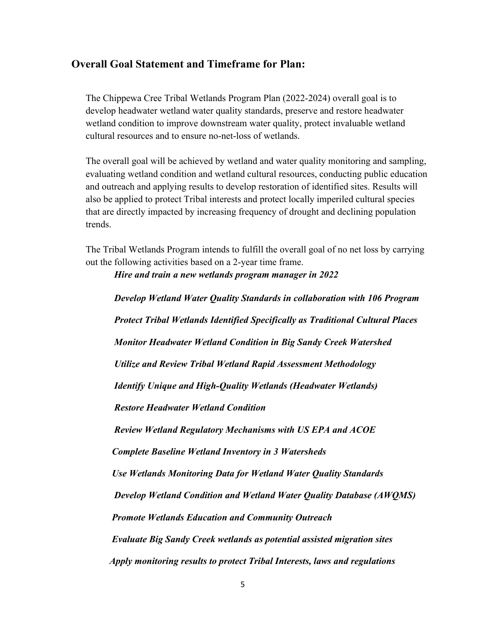## **Overall Goal Statement and Timeframe for Plan:**

The Chippewa Cree Tribal Wetlands Program Plan (2022-2024) overall goal is to develop headwater wetland water quality standards, preserve and restore headwater wetland condition to improve downstream water quality, protect invaluable wetland cultural resources and to ensure no-net-loss of wetlands.

The overall goal will be achieved by wetland and water quality monitoring and sampling, evaluating wetland condition and wetland cultural resources, conducting public education and outreach and applying results to develop restoration of identified sites. Results will also be applied to protect Tribal interests and protect locally imperiled cultural species that are directly impacted by increasing frequency of drought and declining population trends.

The Tribal Wetlands Program intends to fulfill the overall goal of no net loss by carrying out the following activities based on a 2-year time frame.

*Hire and train a new wetlands program manager in 2022*

*Develop Wetland Water Quality Standards in collaboration with 106 Program Protect Tribal Wetlands Identified Specifically as Traditional Cultural Places Monitor Headwater Wetland Condition in Big Sandy Creek Watershed Utilize and Review Tribal Wetland Rapid Assessment Methodology Identify Unique and High-Quality Wetlands (Headwater Wetlands) Restore Headwater Wetland Condition Review Wetland Regulatory Mechanisms with US EPA and ACOE Complete Baseline Wetland Inventory in 3 Watersheds Use Wetlands Monitoring Data for Wetland Water Quality Standards Develop Wetland Condition and Wetland Water Quality Database (AWQMS) Promote Wetlands Education and Community Outreach Evaluate Big Sandy Creek wetlands as potential assisted migration sites Apply monitoring results to protect Tribal Interests, laws and regulations*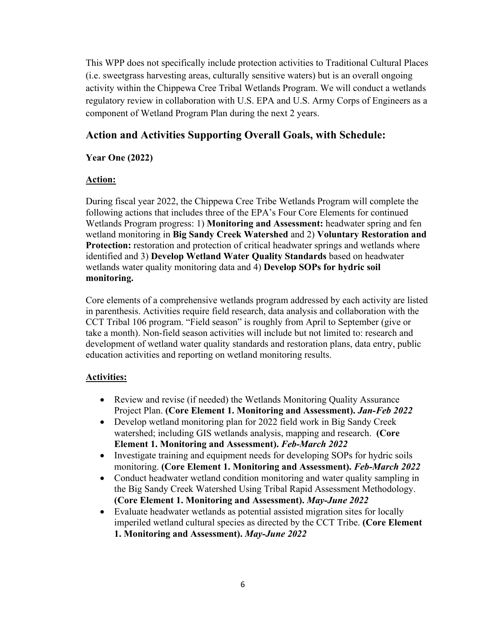This WPP does not specifically include protection activities to Traditional Cultural Places (i.e. sweetgrass harvesting areas, culturally sensitive waters) but is an overall ongoing activity within the Chippewa Cree Tribal Wetlands Program. We will conduct a wetlands regulatory review in collaboration with U.S. EPA and U.S. Army Corps of Engineers as a component of Wetland Program Plan during the next 2 years.

# **Action and Activities Supporting Overall Goals, with Schedule:**

## **Year One (2022)**

## **Action:**

During fiscal year 2022, the Chippewa Cree Tribe Wetlands Program will complete the following actions that includes three of the EPA's Four Core Elements for continued Wetlands Program progress: 1) **Monitoring and Assessment:** headwater spring and fen wetland monitoring in **Big Sandy Creek Watershed** and 2) **Voluntary Restoration and Protection:** restoration and protection of critical headwater springs and wetlands where identified and 3) **Develop Wetland Water Quality Standards** based on headwater wetlands water quality monitoring data and 4) **Develop SOPs for hydric soil monitoring.**

Core elements of a comprehensive wetlands program addressed by each activity are listed in parenthesis. Activities require field research, data analysis and collaboration with the CCT Tribal 106 program. "Field season" is roughly from April to September (give or take a month). Non-field season activities will include but not limited to: research and development of wetland water quality standards and restoration plans, data entry, public education activities and reporting on wetland monitoring results.

# **Activities:**

- Review and revise (if needed) the Wetlands Monitoring Quality Assurance Project Plan. **(Core Element 1. Monitoring and Assessment).** *Jan-Feb 2022*
- Develop wetland monitoring plan for 2022 field work in Big Sandy Creek watershed; including GIS wetlands analysis, mapping and research. **(Core Element 1. Monitoring and Assessment).** *Feb-March 2022*
- Investigate training and equipment needs for developing SOPs for hydric soils monitoring. **(Core Element 1. Monitoring and Assessment).** *Feb-March 2022*
- Conduct headwater wetland condition monitoring and water quality sampling in the Big Sandy Creek Watershed Using Tribal Rapid Assessment Methodology. **(Core Element 1. Monitoring and Assessment).** *May-June 2022*
- Evaluate headwater wetlands as potential assisted migration sites for locally imperiled wetland cultural species as directed by the CCT Tribe. **(Core Element 1. Monitoring and Assessment).** *May-June 2022*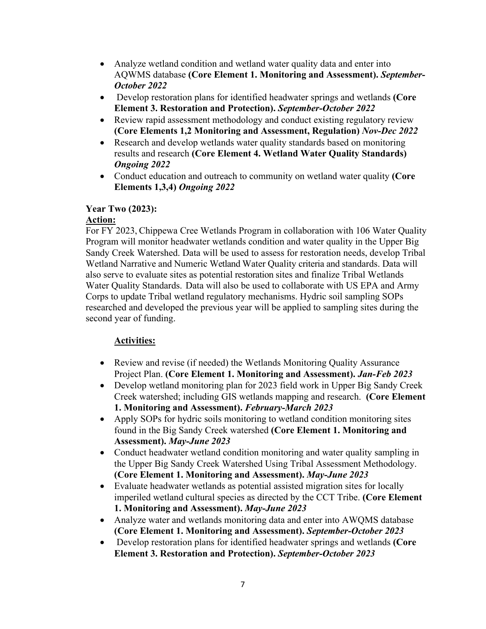- Analyze wetland condition and wetland water quality data and enter into AQWMS database **(Core Element 1. Monitoring and Assessment).** *September-October 2022*
- Develop restoration plans for identified headwater springs and wetlands **(Core Element 3. Restoration and Protection).** *September-October 2022*
- Review rapid assessment methodology and conduct existing regulatory review **(Core Elements 1,2 Monitoring and Assessment, Regulation)** *Nov-Dec 2022*
- Research and develop wetlands water quality standards based on monitoring results and research **(Core Element 4. Wetland Water Quality Standards)** *Ongoing 2022*
- Conduct education and outreach to community on wetland water quality **(Core Elements 1,3,4)** *Ongoing 2022*

## **Year Two (2023):**

## **Action:**

For FY 2023, Chippewa Cree Wetlands Program in collaboration with 106 Water Quality Program will monitor headwater wetlands condition and water quality in the Upper Big Sandy Creek Watershed. Data will be used to assess for restoration needs, develop Tribal Wetland Narrative and Numeric Wetland Water Quality criteria and standards. Data will also serve to evaluate sites as potential restoration sites and finalize Tribal Wetlands Water Quality Standards. Data will also be used to collaborate with US EPA and Army Corps to update Tribal wetland regulatory mechanisms. Hydric soil sampling SOPs researched and developed the previous year will be applied to sampling sites during the second year of funding.

# **Activities:**

- Review and revise (if needed) the Wetlands Monitoring Quality Assurance Project Plan. **(Core Element 1. Monitoring and Assessment).** *Jan-Feb 2023*
- Develop wetland monitoring plan for 2023 field work in Upper Big Sandy Creek Creek watershed; including GIS wetlands mapping and research. **(Core Element 1. Monitoring and Assessment).** *February-March 2023*
- Apply SOPs for hydric soils monitoring to wetland condition monitoring sites found in the Big Sandy Creek watershed **(Core Element 1. Monitoring and Assessment).** *May-June 2023*
- Conduct headwater wetland condition monitoring and water quality sampling in the Upper Big Sandy Creek Watershed Using Tribal Assessment Methodology. **(Core Element 1. Monitoring and Assessment).** *May-June 2023*
- Evaluate headwater wetlands as potential assisted migration sites for locally imperiled wetland cultural species as directed by the CCT Tribe. **(Core Element 1. Monitoring and Assessment).** *May-June 2023*
- Analyze water and wetlands monitoring data and enter into AWQMS database **(Core Element 1. Monitoring and Assessment).** *September-October 2023*
- Develop restoration plans for identified headwater springs and wetlands **(Core Element 3. Restoration and Protection).** *September-October 2023*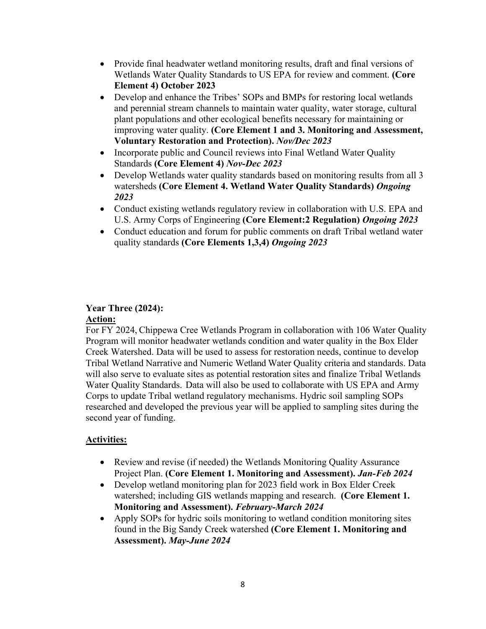- Provide final headwater wetland monitoring results, draft and final versions of Wetlands Water Quality Standards to US EPA for review and comment. **(Core Element 4) October 2023**
- Develop and enhance the Tribes' SOPs and BMPs for restoring local wetlands and perennial stream channels to maintain water quality, water storage, cultural plant populations and other ecological benefits necessary for maintaining or improving water quality. **(Core Element 1 and 3. Monitoring and Assessment, Voluntary Restoration and Protection).** *Nov/Dec 2023*
- Incorporate public and Council reviews into Final Wetland Water Quality Standards **(Core Element 4)** *Nov-Dec 2023*
- Develop Wetlands water quality standards based on monitoring results from all 3 watersheds **(Core Element 4. Wetland Water Quality Standards)** *Ongoing 2023*
- Conduct existing wetlands regulatory review in collaboration with U.S. EPA and U.S. Army Corps of Engineering **(Core Element:2 Regulation)** *Ongoing 2023*
- Conduct education and forum for public comments on draft Tribal wetland water quality standards **(Core Elements 1,3,4)** *Ongoing 2023*

### **Year Three (2024): Action:**

For FY 2024, Chippewa Cree Wetlands Program in collaboration with 106 Water Quality Program will monitor headwater wetlands condition and water quality in the Box Elder Creek Watershed. Data will be used to assess for restoration needs, continue to develop Tribal Wetland Narrative and Numeric Wetland Water Quality criteria and standards. Data will also serve to evaluate sites as potential restoration sites and finalize Tribal Wetlands Water Quality Standards. Data will also be used to collaborate with US EPA and Army Corps to update Tribal wetland regulatory mechanisms. Hydric soil sampling SOPs researched and developed the previous year will be applied to sampling sites during the second year of funding.

# **Activities:**

- Review and revise (if needed) the Wetlands Monitoring Quality Assurance Project Plan. **(Core Element 1. Monitoring and Assessment).** *Jan-Feb 2024*
- Develop wetland monitoring plan for 2023 field work in Box Elder Creek watershed; including GIS wetlands mapping and research. **(Core Element 1. Monitoring and Assessment).** *February-March 2024*
- Apply SOPs for hydric soils monitoring to wetland condition monitoring sites found in the Big Sandy Creek watershed **(Core Element 1. Monitoring and Assessment).** *May-June 2024*